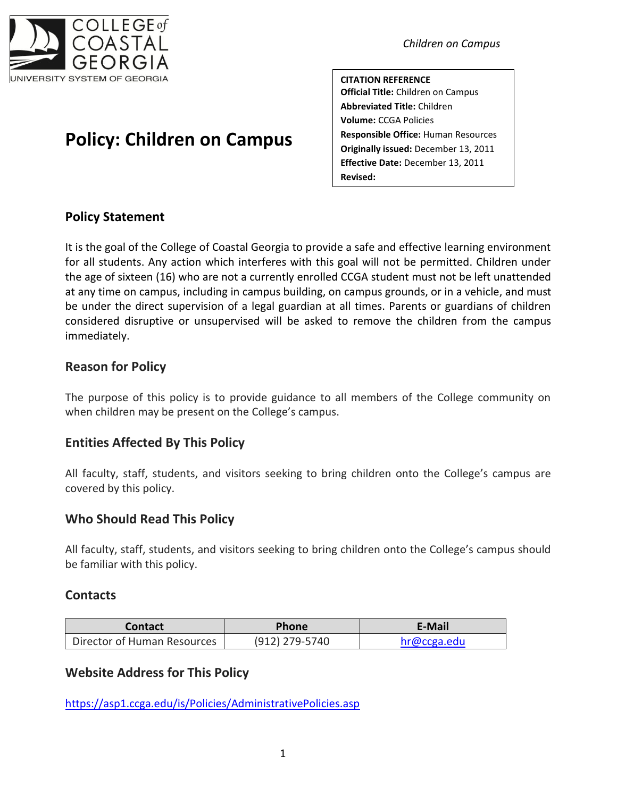

# **Policy: Children on Campus**

*Children on Campus*

**CITATION REFERENCE Official Title:** Children on Campus **Abbreviated Title:** Children **Volume:** CCGA Policies **Responsible Office:** Human Resources **Originally issued:** December 13, 2011 **Effective Date:** December 13, 2011 **Revised:**

# **Policy Statement**

It is the goal of the College of Coastal Georgia to provide a safe and effective learning environment for all students. Any action which interferes with this goal will not be permitted. Children under the age of sixteen (16) who are not a currently enrolled CCGA student must not be left unattended at any time on campus, including in campus building, on campus grounds, or in a vehicle, and must be under the direct supervision of a legal guardian at all times. Parents or guardians of children considered disruptive or unsupervised will be asked to remove the children from the campus immediately.

## **Reason for Policy**

The purpose of this policy is to provide guidance to all members of the College community on when children may be present on the College's campus.

# **Entities Affected By This Policy**

All faculty, staff, students, and visitors seeking to bring children onto the College's campus are covered by this policy.

# **Who Should Read This Policy**

All faculty, staff, students, and visitors seeking to bring children onto the College's campus should be familiar with this policy.

## **Contacts**

| Contact                     | <b>Phone</b>   | E-Mail      |
|-----------------------------|----------------|-------------|
| Director of Human Resources | (912) 279-5740 | hr@ccga.edu |

## **Website Address for This Policy**

<https://asp1.ccga.edu/is/Policies/AdministrativePolicies.asp>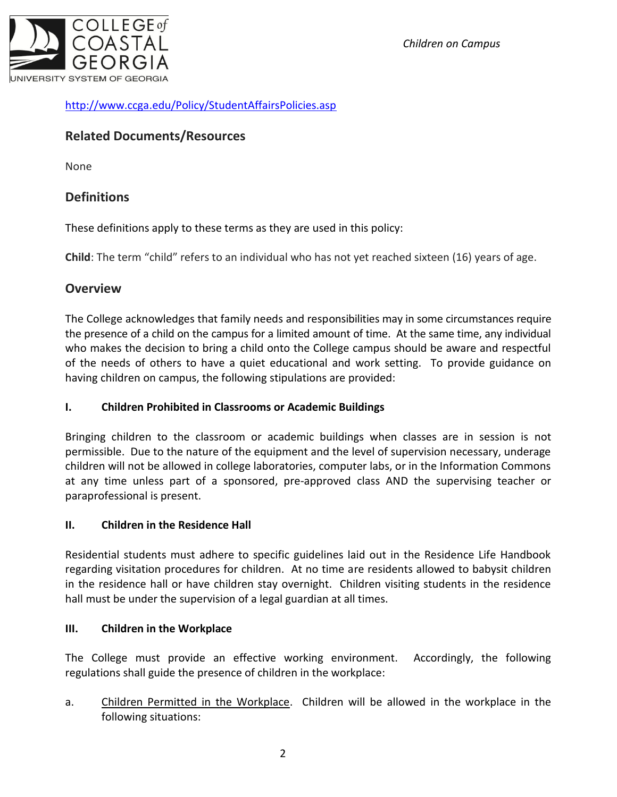*Children on Campus*



## <http://www.ccga.edu/Policy/StudentAffairsPolicies.asp>

## **Related Documents/Resources**

None

## **Definitions**

These definitions apply to these terms as they are used in this policy:

**Child**: The term "child" refers to an individual who has not yet reached sixteen (16) years of age.

## **Overview**

The College acknowledges that family needs and responsibilities may in some circumstances require the presence of a child on the campus for a limited amount of time. At the same time, any individual who makes the decision to bring a child onto the College campus should be aware and respectful of the needs of others to have a quiet educational and work setting. To provide guidance on having children on campus, the following stipulations are provided:

#### **I. Children Prohibited in Classrooms or Academic Buildings**

Bringing children to the classroom or academic buildings when classes are in session is not permissible. Due to the nature of the equipment and the level of supervision necessary, underage children will not be allowed in college laboratories, computer labs, or in the Information Commons at any time unless part of a sponsored, pre-approved class AND the supervising teacher or paraprofessional is present.

#### **II. Children in the Residence Hall**

Residential students must adhere to specific guidelines laid out in the Residence Life Handbook regarding visitation procedures for children. At no time are residents allowed to babysit children in the residence hall or have children stay overnight. Children visiting students in the residence hall must be under the supervision of a legal guardian at all times.

#### **III. Children in the Workplace**

The College must provide an effective working environment. Accordingly, the following regulations shall guide the presence of children in the workplace:

a. Children Permitted in the Workplace. Children will be allowed in the workplace in the following situations: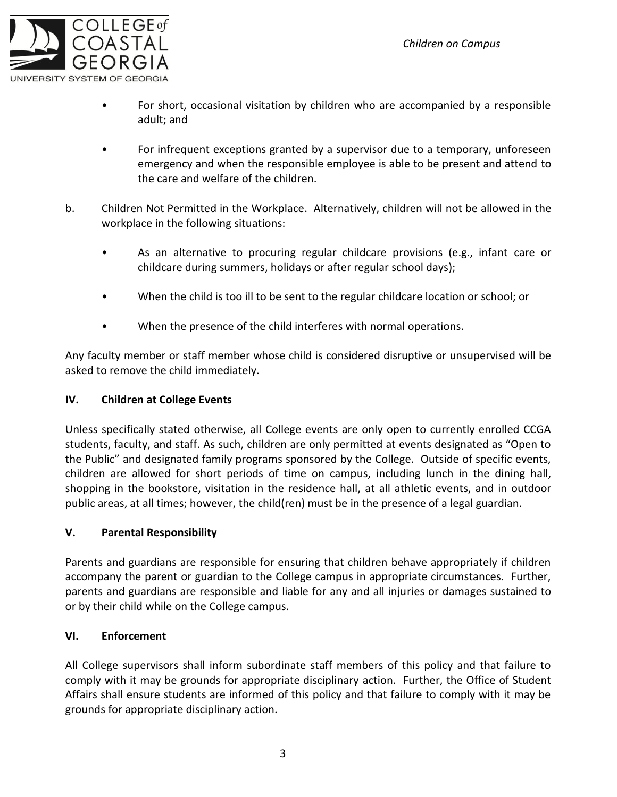

- For short, occasional visitation by children who are accompanied by a responsible adult; and
- For infrequent exceptions granted by a supervisor due to a temporary, unforeseen emergency and when the responsible employee is able to be present and attend to the care and welfare of the children.
- b. Children Not Permitted in the Workplace. Alternatively, children will not be allowed in the workplace in the following situations:
	- As an alternative to procuring regular childcare provisions (e.g., infant care or childcare during summers, holidays or after regular school days);
	- When the child is too ill to be sent to the regular childcare location or school; or
	- When the presence of the child interferes with normal operations.

Any faculty member or staff member whose child is considered disruptive or unsupervised will be asked to remove the child immediately.

#### **IV. Children at College Events**

Unless specifically stated otherwise, all College events are only open to currently enrolled CCGA students, faculty, and staff. As such, children are only permitted at events designated as "Open to the Public" and designated family programs sponsored by the College. Outside of specific events, children are allowed for short periods of time on campus, including lunch in the dining hall, shopping in the bookstore, visitation in the residence hall, at all athletic events, and in outdoor public areas, at all times; however, the child(ren) must be in the presence of a legal guardian.

#### **V. Parental Responsibility**

Parents and guardians are responsible for ensuring that children behave appropriately if children accompany the parent or guardian to the College campus in appropriate circumstances. Further, parents and guardians are responsible and liable for any and all injuries or damages sustained to or by their child while on the College campus.

#### **VI. Enforcement**

All College supervisors shall inform subordinate staff members of this policy and that failure to comply with it may be grounds for appropriate disciplinary action. Further, the Office of Student Affairs shall ensure students are informed of this policy and that failure to comply with it may be grounds for appropriate disciplinary action.